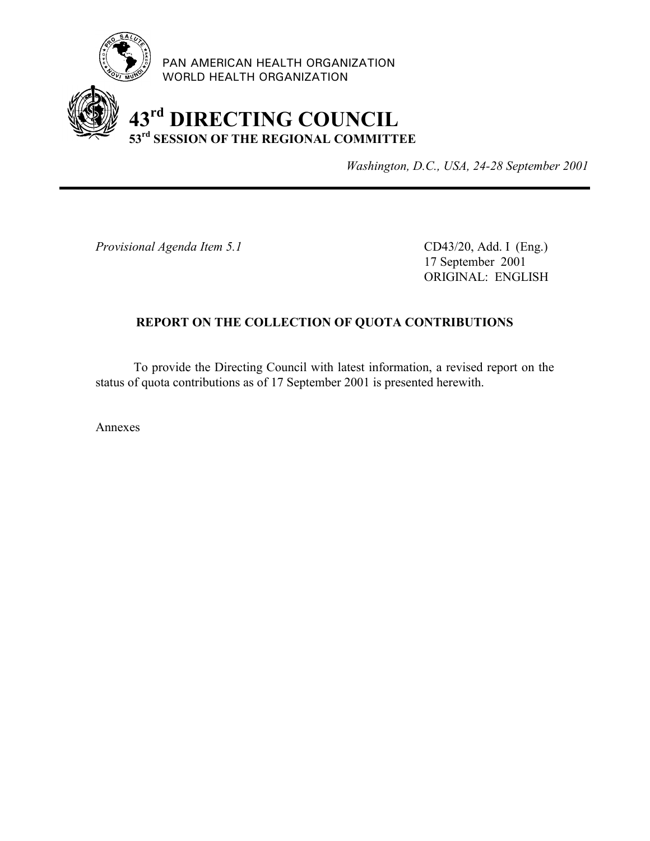

PAN AMERICAN HEALTH ORGANIZATION WORLD HEALTH ORGANIZATION

## **43rd DIRECTING COUNCIL 53rd SESSION OF THE REGIONAL COMMITTEE**

*Washington, D.C., USA, 24-28 September 2001*

*Provisional Agenda Item 5.1* CD43/20, Add. I (Eng.)

17 September 2001 ORIGINAL: ENGLISH

## **REPORT ON THE COLLECTION OF QUOTA CONTRIBUTIONS**

To provide the Directing Council with latest information, a revised report on the status of quota contributions as of 17 September 2001 is presented herewith.

Annexes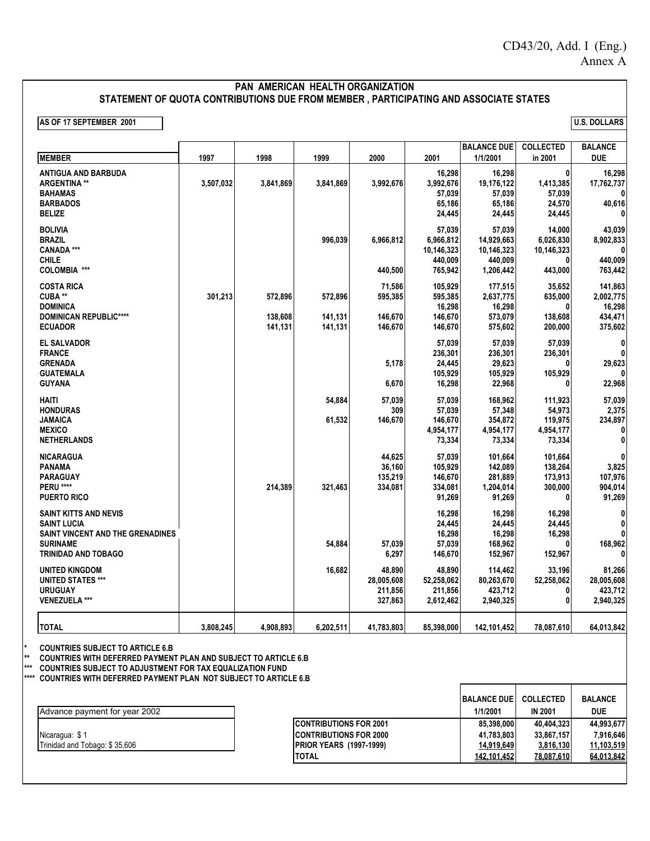## **PAN AMERICAN HEALTH ORGANIZATION STATEMENT OF QUOTA CONTRIBUTIONS DUE FROM MEMBER , PARTICIPATING AND ASSOCIATE STATES**

**AS OF 17 SEPTEMBER 2001 U.S. DOLLARS**

| <b>MEMBER</b>                                                                                                                                                                                                                                            | 1997      | 1998               | 1999                                                            | 2000                                       | 2001                                                    | <b>BALANCE DUE</b><br>1/1/2001                             | <b>COLLECTED</b><br>in 2001                         | <b>BALANCE</b><br><b>DUE</b>                   |
|----------------------------------------------------------------------------------------------------------------------------------------------------------------------------------------------------------------------------------------------------------|-----------|--------------------|-----------------------------------------------------------------|--------------------------------------------|---------------------------------------------------------|------------------------------------------------------------|-----------------------------------------------------|------------------------------------------------|
| <b>ANTIGUA AND BARBUDA</b><br><b>ARGENTINA **</b><br><b>BAHAMAS</b><br><b>BARBADOS</b><br>BELIZE                                                                                                                                                         | 3,507,032 | 3,841,869          | 3,841,869                                                       | 3,992,676                                  | 16,298<br>3,992,676<br>57,039<br>65,186<br>24,445       | 16,298<br>19,176,122<br>57,039<br>65,186<br>24,445         | 0<br>1,413,385<br>57,039<br>24,570<br>24,445        | 16,298<br>17,762,737<br>0<br>40,616<br>0       |
| <b>BOLIVIA</b><br><b>BRAZIL</b><br><b>CANADA ***</b><br><b>CHILE</b><br>COLOMBIA ***                                                                                                                                                                     |           |                    | 996,039                                                         | 6,966,812<br>440,500                       | 57,039<br>6,966,812<br>10,146,323<br>440,009<br>765,942 | 57,039<br>14,929,663<br>10,146,323<br>440,009<br>1,206,442 | 14,000<br>6,026,830<br>10,146,323<br>0<br>443,000   | 43,039<br>8,902,833<br>0<br>440,009<br>763,442 |
| <b>COSTA RICA</b>                                                                                                                                                                                                                                        |           |                    |                                                                 | 71,586                                     | 105,929                                                 | 177,515                                                    | 35,652                                              | 141,863                                        |
| CUBA <sup>**</sup><br><b>DOMINICA</b><br><b>DOMINICAN REPUBLIC****</b>                                                                                                                                                                                   | 301,213   | 572,896            | 572,896                                                         | 595,385                                    | 595,385<br>16,298                                       | 2,637,775<br>16,298                                        | 635,000<br>$\bf{0}$                                 | 2,002,775<br>16,298                            |
| <b>ECUADOR</b>                                                                                                                                                                                                                                           |           | 138,608<br>141,131 | 141,131<br>141,131                                              | 146,670<br>146,670                         | 146,670<br>146,670                                      | 573,079<br>575,602                                         | 138,608<br>200,000                                  | 434,471<br>375,602                             |
| <b>EL SALVADOR</b><br><b>FRANCE</b><br><b>GRENADA</b><br><b>GUATEMALA</b>                                                                                                                                                                                |           |                    |                                                                 | 5,178                                      | 57,039<br>236,301<br>24,445<br>105,929                  | 57,039<br>236,301<br>29,623<br>105,929                     | 57,039<br>236,301<br>0<br>105,929                   | 0<br>0<br>29,623                               |
| <b>GUYANA</b>                                                                                                                                                                                                                                            |           |                    |                                                                 | 6,670                                      | 16,298                                                  | 22,968                                                     |                                                     | 22,968                                         |
| <b>HAITI</b><br><b>HONDURAS</b><br><b>JAMAICA</b><br><b>MEXICO</b><br><b>NETHERLANDS</b>                                                                                                                                                                 |           |                    | 54,884<br>61,532                                                | 57,039<br>309<br>146,670                   | 57,039<br>57,039<br>146,670<br>4,954,177<br>73,334      | 168,962<br>57,348<br>354,872<br>4,954,177<br>73,334        | 111.923<br>54,973<br>119,975<br>4,954,177<br>73,334 | 57,039<br>2,375<br>234,897<br>0<br>0           |
| <b>NICARAGUA</b><br><b>PANAMA</b><br><b>PARAGUAY</b><br><b>PERU ****</b><br><b>PUERTO RICO</b>                                                                                                                                                           |           | 214,389            | 321,463                                                         | 44,625<br>36,160<br>135,219<br>334,081     | 57,039<br>105,929<br>146,670<br>334,081<br>91,269       | 101,664<br>142,089<br>281,889<br>1,204,014<br>91,269       | 101,664<br>138,264<br>173,913<br>300,000<br>0       | 0<br>3,825<br>107,976<br>904,014<br>91,269     |
| SAINT KITTS AND NEVIS<br><b>SAINT LUCIA</b><br>SAINT VINCENT AND THE GRENADINES<br><b>SURINAME</b><br><b>TRINIDAD AND TOBAGO</b>                                                                                                                         |           |                    | 54,884                                                          | 57,039<br>6,297                            | 16,298<br>24,445<br>16,298<br>57,039<br>146,670         | 16,298<br>24,445<br>16,298<br>168,962<br>152,967           | 16,298<br>24,445<br>16,298<br>0<br>152,967          | 0<br>0<br>0<br>168,962<br>0                    |
| <b>UNITED KINGDOM</b><br><b>UNITED STATES ***</b><br><b>URUGUAY</b><br><b>VENEZUELA ***</b>                                                                                                                                                              |           |                    | 16,682                                                          | 48,890<br>28,005,608<br>211,856<br>327,863 | 48,890<br>52,258,062<br>211,856<br>2,612,462            | 114,462<br>80,263,670<br>423,712<br>2,940,325              | 33,196<br>52,258,062<br>0<br>0                      | 81,266<br>28,005,608<br>423,712<br>2,940,325   |
| <b>TOTAL</b>                                                                                                                                                                                                                                             | 3,808,245 | 4,908,893          | 6,202,511                                                       | 41,783,803                                 | 85,398,000                                              | 142,101,452                                                | 78,087,610                                          | 64,013,842                                     |
| <b>COUNTRIES SUBJECT TO ARTICLE 6.B</b><br>COUNTRIES WITH DEFERRED PAYMENT PLAN AND SUBJECT TO ARTICLE 6.B<br><b>COUNTRIES SUBJECT TO ADJUSTMENT FOR TAX EQUALIZATION FUND</b><br><b>COUNTRIES WITH DEFERRED PAYMENT PLAN NOT SUBJECT TO ARTICLE 6.B</b> |           |                    |                                                                 |                                            |                                                         |                                                            |                                                     |                                                |
|                                                                                                                                                                                                                                                          |           |                    |                                                                 |                                            |                                                         | <b>BALANCE DUE</b>                                         | <b>COLLECTED</b>                                    | <b>BALANCE</b>                                 |
| Advance payment for year 2002                                                                                                                                                                                                                            |           |                    | <b>CONTRIBUTIONS FOR 2001</b>                                   |                                            |                                                         | 1/1/2001<br>85,398,000                                     | <b>IN 2001</b><br>40,404,323                        | <b>DUE</b><br>44,993,677                       |
| Nicaragua: \$1<br>Trinidad and Tobago: \$35,606                                                                                                                                                                                                          |           | <b>TOTAL</b>       | <b>CONTRIBUTIONS FOR 2000</b><br><b>PRIOR YEARS (1997-1999)</b> |                                            |                                                         | 41,783,803<br>14,919,649                                   | 33,867,157<br>3,816,130                             | 7,916,646<br>11,103,519                        |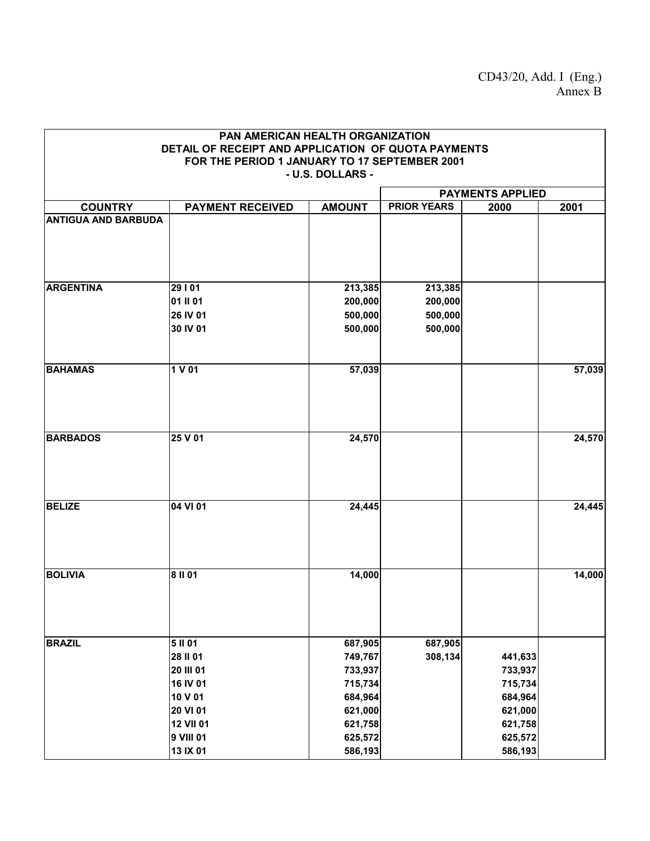| PAN AMERICAN HEALTH ORGANIZATION |                                                     |                  |                    |                         |        |  |
|----------------------------------|-----------------------------------------------------|------------------|--------------------|-------------------------|--------|--|
|                                  | DETAIL OF RECEIPT AND APPLICATION OF QUOTA PAYMENTS |                  |                    |                         |        |  |
|                                  | FOR THE PERIOD 1 JANUARY TO 17 SEPTEMBER 2001       |                  |                    |                         |        |  |
|                                  |                                                     | - U.S. DOLLARS - |                    |                         |        |  |
|                                  |                                                     |                  |                    | <b>PAYMENTS APPLIED</b> |        |  |
| <b>COUNTRY</b>                   | <b>PAYMENT RECEIVED</b>                             | <b>AMOUNT</b>    | <b>PRIOR YEARS</b> | 2000                    | 2001   |  |
| <b>ANTIGUA AND BARBUDA</b>       |                                                     |                  |                    |                         |        |  |
|                                  |                                                     |                  |                    |                         |        |  |
|                                  |                                                     |                  |                    |                         |        |  |
|                                  |                                                     |                  |                    |                         |        |  |
| <b>ARGENTINA</b>                 | 29   01                                             | 213,385          | 213,385            |                         |        |  |
|                                  | 01 II 01                                            | 200,000          | 200,000            |                         |        |  |
|                                  | 26 IV 01                                            | 500,000          | 500,000            |                         |        |  |
|                                  | 30 IV 01                                            | 500,000          | 500,000            |                         |        |  |
|                                  |                                                     |                  |                    |                         |        |  |
|                                  |                                                     |                  |                    |                         |        |  |
| <b>BAHAMAS</b>                   | 1 V 01                                              | 57,039           |                    |                         | 57,039 |  |
|                                  |                                                     |                  |                    |                         |        |  |
|                                  |                                                     |                  |                    |                         |        |  |
|                                  |                                                     |                  |                    |                         |        |  |
| <b>BARBADOS</b>                  | 25 V 01                                             | 24,570           |                    |                         | 24,570 |  |
|                                  |                                                     |                  |                    |                         |        |  |
|                                  |                                                     |                  |                    |                         |        |  |
|                                  |                                                     |                  |                    |                         |        |  |
| <b>BELIZE</b>                    | 04 VI 01                                            | 24,445           |                    |                         | 24,445 |  |
|                                  |                                                     |                  |                    |                         |        |  |
|                                  |                                                     |                  |                    |                         |        |  |
|                                  |                                                     |                  |                    |                         |        |  |
|                                  |                                                     |                  |                    |                         |        |  |
| <b>BOLIVIA</b>                   | 8 II 01                                             | 14,000           |                    |                         | 14,000 |  |
|                                  |                                                     |                  |                    |                         |        |  |
|                                  |                                                     |                  |                    |                         |        |  |
|                                  |                                                     |                  |                    |                         |        |  |
| <b>BRAZIL</b>                    | <b>5 II 01</b>                                      | 687,905          | 687,905            |                         |        |  |
|                                  | 28 II 01                                            | 749,767          | 308,134            | 441,633                 |        |  |
|                                  | <b>20 III 01</b>                                    | 733,937          |                    | 733,937                 |        |  |
|                                  | 16 IV 01                                            | 715,734          |                    | 715,734                 |        |  |
|                                  | 10 V 01                                             | 684,964          |                    | 684,964                 |        |  |
|                                  | 20 VI 01                                            | 621,000          |                    | 621,000                 |        |  |
|                                  | 12 VII 01                                           | 621,758          |                    | 621,758                 |        |  |
|                                  | <b>9 VIII 01</b>                                    | 625,572          |                    | 625,572                 |        |  |
|                                  | 13 IX 01                                            | 586,193          |                    | 586,193                 |        |  |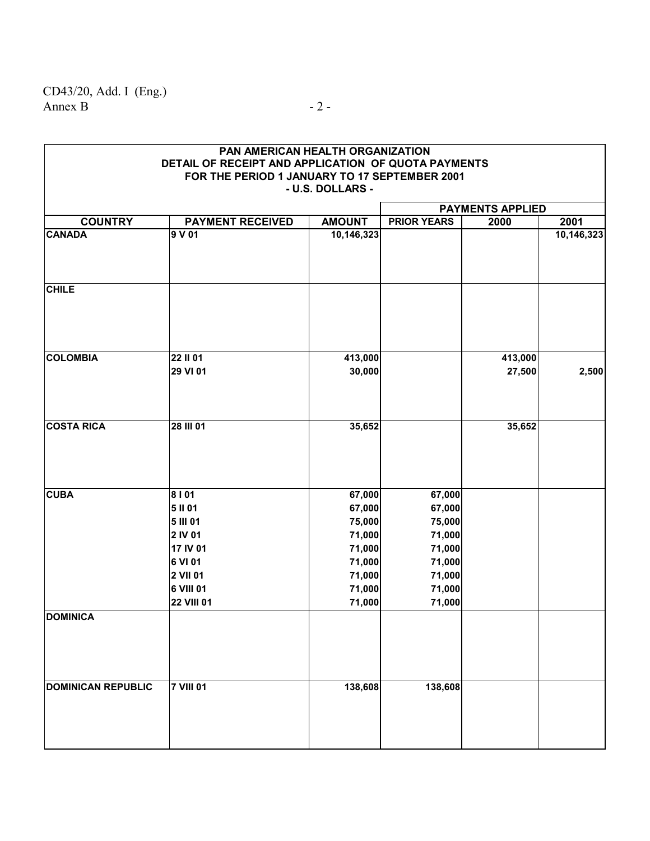|                           | PAN AMERICAN HEALTH ORGANIZATION<br>DETAIL OF RECEIPT AND APPLICATION OF QUOTA PAYMENTS<br>FOR THE PERIOD 1 JANUARY TO 17 SEPTEMBER 2001 |                   |                    |                         |            |
|---------------------------|------------------------------------------------------------------------------------------------------------------------------------------|-------------------|--------------------|-------------------------|------------|
|                           |                                                                                                                                          | - U.S. DOLLARS -  |                    |                         |            |
|                           |                                                                                                                                          |                   |                    | <b>PAYMENTS APPLIED</b> |            |
| <b>COUNTRY</b>            | <b>PAYMENT RECEIVED</b>                                                                                                                  | <b>AMOUNT</b>     | <b>PRIOR YEARS</b> | 2000                    | 2001       |
| <b>CANADA</b>             | 9 V 01                                                                                                                                   | 10,146,323        |                    |                         | 10,146,323 |
| <b>CHILE</b>              |                                                                                                                                          |                   |                    |                         |            |
|                           |                                                                                                                                          |                   |                    |                         |            |
| <b>COLOMBIA</b>           | <b>22 II 01</b><br>29 VI 01                                                                                                              | 413,000<br>30,000 |                    | 413,000<br>27,500       | 2,500      |
| <b>COSTA RICA</b>         | <b>28 III 01</b>                                                                                                                         | 35,652            |                    | 35,652                  |            |
| <b>CUBA</b>               | 8101                                                                                                                                     | 67,000            | 67,000             |                         |            |
|                           | 5 II 01                                                                                                                                  | 67,000            | 67,000             |                         |            |
|                           | 5 III 01                                                                                                                                 | 75,000            | 75,000             |                         |            |
|                           | 2 IV 01                                                                                                                                  | 71,000            | 71,000             |                         |            |
|                           | 17 IV 01                                                                                                                                 | 71,000            | 71,000             |                         |            |
|                           | 6 VI 01                                                                                                                                  | 71,000            | 71,000             |                         |            |
|                           | 2 VII 01                                                                                                                                 | 71,000            | 71,000             |                         |            |
|                           | <b>6 VIII 01</b>                                                                                                                         | 71,000            | 71,000             |                         |            |
|                           | <b>22 VIII 01</b>                                                                                                                        | 71,000            | 71,000             |                         |            |
| <b>DOMINICA</b>           |                                                                                                                                          |                   |                    |                         |            |
| <b>DOMINICAN REPUBLIC</b> | <b>7 VIII 01</b>                                                                                                                         | 138,608           | 138,608            |                         |            |
|                           |                                                                                                                                          |                   |                    |                         |            |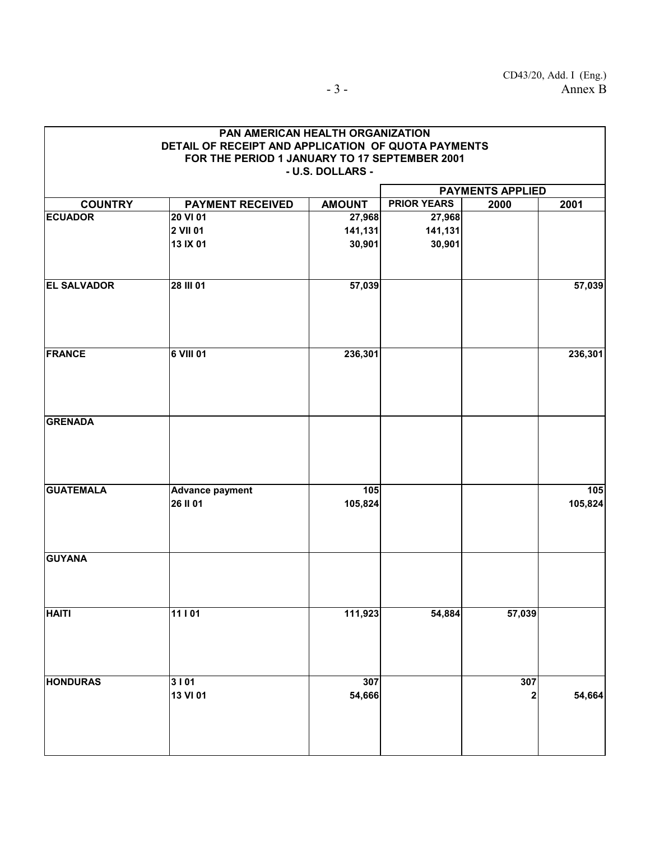|                    | PAN AMERICAN HEALTH ORGANIZATION<br>DETAIL OF RECEIPT AND APPLICATION OF QUOTA PAYMENTS |                  |                         |                                |                |  |
|--------------------|-----------------------------------------------------------------------------------------|------------------|-------------------------|--------------------------------|----------------|--|
|                    | FOR THE PERIOD 1 JANUARY TO 17 SEPTEMBER 2001                                           | - U.S. DOLLARS - |                         |                                |                |  |
|                    |                                                                                         |                  | <b>PAYMENTS APPLIED</b> |                                |                |  |
| <b>COUNTRY</b>     | <b>PAYMENT RECEIVED</b>                                                                 | <b>AMOUNT</b>    | <b>PRIOR YEARS</b>      | 2000                           | 2001           |  |
| <b>ECUADOR</b>     | 20 VI 01                                                                                | 27,968           | 27,968                  |                                |                |  |
|                    | 2 VII 01                                                                                | 141,131          | 141,131                 |                                |                |  |
|                    | 13 IX 01                                                                                | 30,901           | 30,901                  |                                |                |  |
| <b>EL SALVADOR</b> | <b>28 III 01</b>                                                                        | 57,039           |                         |                                | 57,039         |  |
|                    |                                                                                         |                  |                         |                                |                |  |
| <b>FRANCE</b>      | 6 VIII 01                                                                               | 236,301          |                         |                                | 236,301        |  |
| <b>GRENADA</b>     |                                                                                         |                  |                         |                                |                |  |
| <b>GUATEMALA</b>   | <b>Advance payment</b><br>26 II 01                                                      | 105<br>105,824   |                         |                                | 105<br>105,824 |  |
|                    |                                                                                         |                  |                         |                                |                |  |
| <b>GUYANA</b>      |                                                                                         |                  |                         |                                |                |  |
| <b>HAITI</b>       | 11101                                                                                   | 111,923          | 54,884                  | 57,039                         |                |  |
| <b>HONDURAS</b>    | 3101<br>13 VI 01                                                                        | 307<br>54,666    |                         | 307<br>$\overline{\mathbf{2}}$ | 54,664         |  |
|                    |                                                                                         |                  |                         |                                |                |  |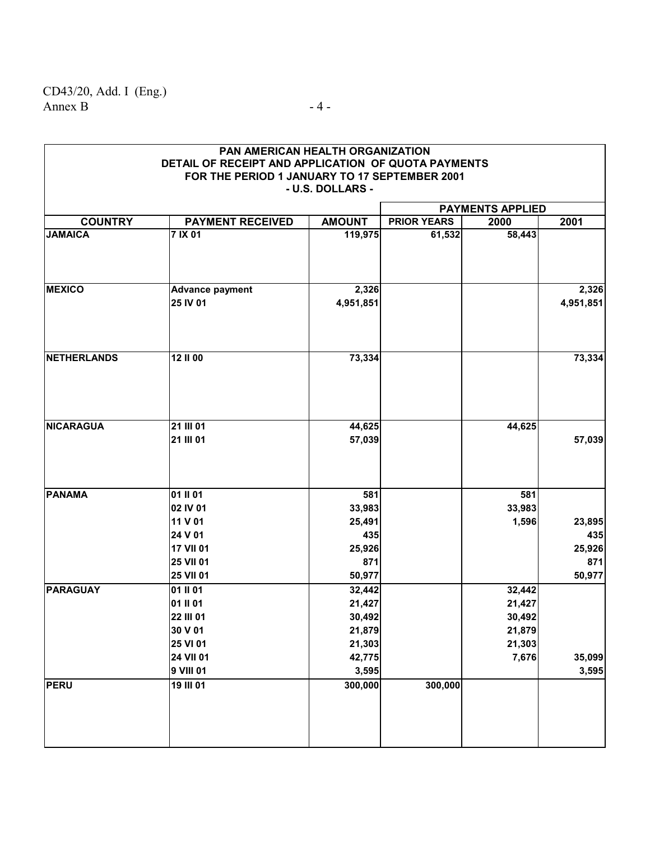|                 | PAN AMERICAN HEALTH ORGANIZATION<br>DETAIL OF RECEIPT AND APPLICATION OF QUOTA PAYMENTS<br>FOR THE PERIOD 1 JANUARY TO 17 SEPTEMBER 2001 | - U.S. DOLLARS -                     |                            |                            |                                |  |
|-----------------|------------------------------------------------------------------------------------------------------------------------------------------|--------------------------------------|----------------------------|----------------------------|--------------------------------|--|
|                 |                                                                                                                                          |                                      |                            | <b>PAYMENTS APPLIED</b>    |                                |  |
| <b>COUNTRY</b>  | <b>PAYMENT RECEIVED</b>                                                                                                                  | <b>AMOUNT</b>                        | <b>PRIOR YEARS</b><br>2000 |                            | 2001                           |  |
| <b>JAMAICA</b>  | 7 IX 01                                                                                                                                  | 119,975                              | 61,532                     | 58,443                     |                                |  |
| <b>MEXICO</b>   | Advance payment                                                                                                                          | 2,326                                |                            |                            | 2,326                          |  |
|                 | 25 IV 01                                                                                                                                 | 4,951,851                            |                            |                            | 4,951,851                      |  |
| NETHERLANDS     | 12 II 00                                                                                                                                 | 73,334                               |                            |                            | 73,334                         |  |
| NICARAGUA       | 21 III 01<br>21 III 01                                                                                                                   | 44,625<br>57,039                     |                            | 44,625                     | 57,039                         |  |
| <b>PANAMA</b>   | 01 II 01<br>02 IV 01                                                                                                                     | 581<br>33,983                        |                            | 581<br>33,983              |                                |  |
|                 | 11 V 01<br>24 V 01<br>17 VII 01<br><b>25 VII 01</b>                                                                                      | 25,491<br>435<br>25,926<br>871       |                            | 1,596                      | 23,895<br>435<br>25,926<br>871 |  |
| <b>PARAGUAY</b> | <b>25 VII 01</b><br>01 II 01<br>01 II 01<br>22 III 01                                                                                    | 50,977<br>32,442<br>21,427<br>30,492 |                            | 32,442<br>21,427<br>30,492 | 50,977                         |  |
|                 | 30 V 01<br>25 VI 01<br>24 VII 01<br>9 VIII 01                                                                                            | 21,879<br>21,303<br>42,775<br>3,595  |                            | 21,879<br>21,303<br>7,676  | 35,099<br>3,595                |  |
| <b>PERU</b>     | 19 III 01                                                                                                                                | 300,000                              | 300,000                    |                            |                                |  |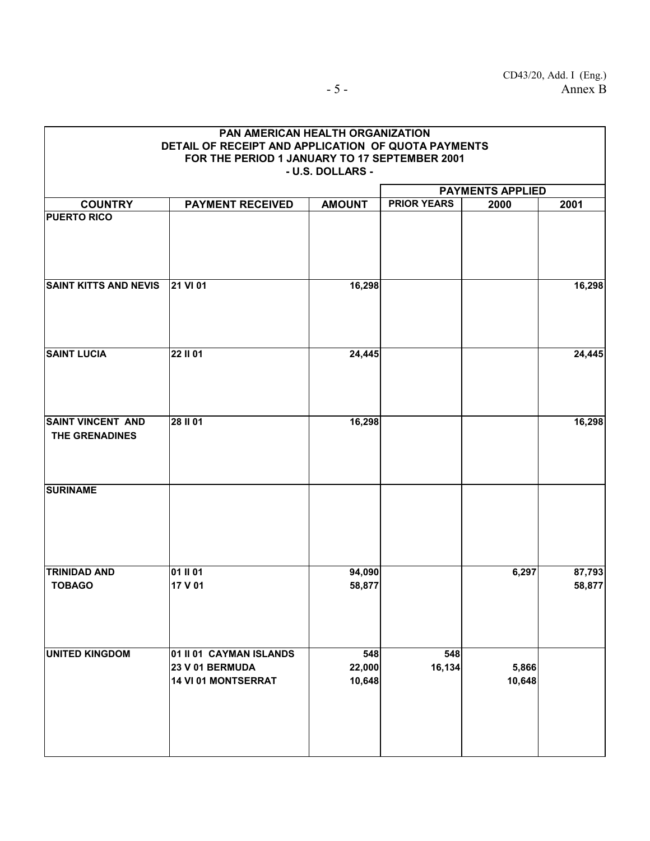| PAN AMERICAN HEALTH ORGANIZATION<br>DETAIL OF RECEIPT AND APPLICATION OF QUOTA PAYMENTS |                                                                   |                         |                    |                 |                  |  |
|-----------------------------------------------------------------------------------------|-------------------------------------------------------------------|-------------------------|--------------------|-----------------|------------------|--|
|                                                                                         | FOR THE PERIOD 1 JANUARY TO 17 SEPTEMBER 2001                     |                         |                    |                 |                  |  |
|                                                                                         |                                                                   | - U.S. DOLLARS -        |                    |                 |                  |  |
| <b>PAYMENTS APPLIED</b>                                                                 |                                                                   |                         |                    |                 |                  |  |
| <b>COUNTRY</b>                                                                          | <b>PAYMENT RECEIVED</b>                                           | <b>AMOUNT</b>           | <b>PRIOR YEARS</b> | 2000            | 2001             |  |
| <b>PUERTO RICO</b>                                                                      |                                                                   |                         |                    |                 |                  |  |
| <b>SAINT KITTS AND NEVIS</b>                                                            | 21 VI 01                                                          | 16,298                  |                    |                 | 16,298           |  |
| <b>SAINT LUCIA</b>                                                                      | <b>22 II 01</b>                                                   | 24,445                  |                    |                 | 24,445           |  |
| <b>SAINT VINCENT AND</b><br>THE GRENADINES                                              | 28 II 01                                                          | 16,298                  |                    |                 | 16,298           |  |
| <b>SURINAME</b>                                                                         |                                                                   |                         |                    |                 |                  |  |
| <b>TRINIDAD AND</b><br><b>TOBAGO</b>                                                    | 01 II 01<br>17 V 01                                               | 94,090<br>58,877        |                    | 6,297           | 87,793<br>58,877 |  |
| UNITED KINGDOM                                                                          | 01 II 01 CAYMAN ISLANDS<br>23 V 01 BERMUDA<br>14 VI 01 MONTSERRAT | 548<br>22,000<br>10,648 | 548<br>16,134      | 5,866<br>10,648 |                  |  |